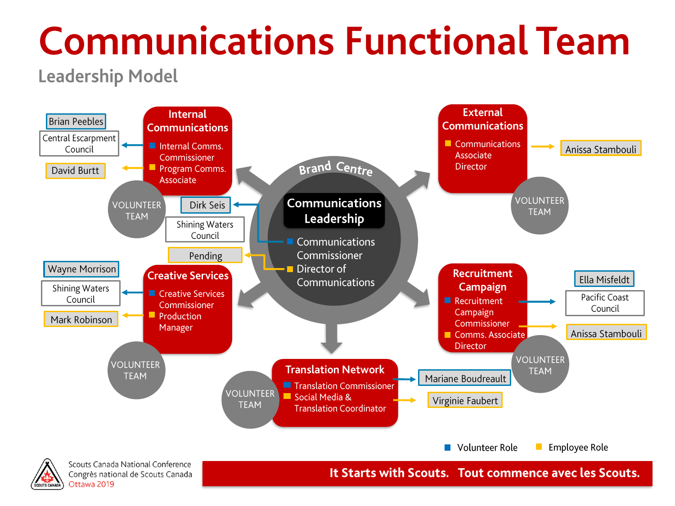**Leadership Model** 



Congrès national de Scouts Canada Ottawa 2019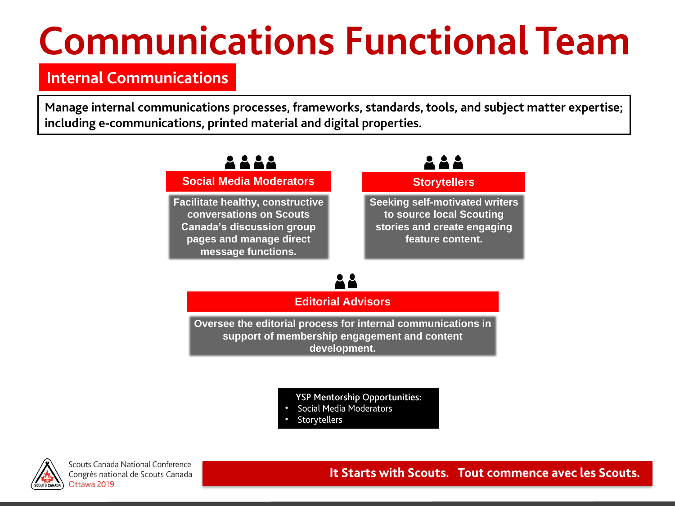### **Internal Communications**

Manage internal communications processes, frameworks, standards, tools, and subject matter expertise; including e-communications, printed material and digital properties.



**YSP Mentorship Opportunities:** 

- Social Media Moderators
- Storytellers



Scouts Canada National Conference Congrès national de Scouts Canada Ottawa 2019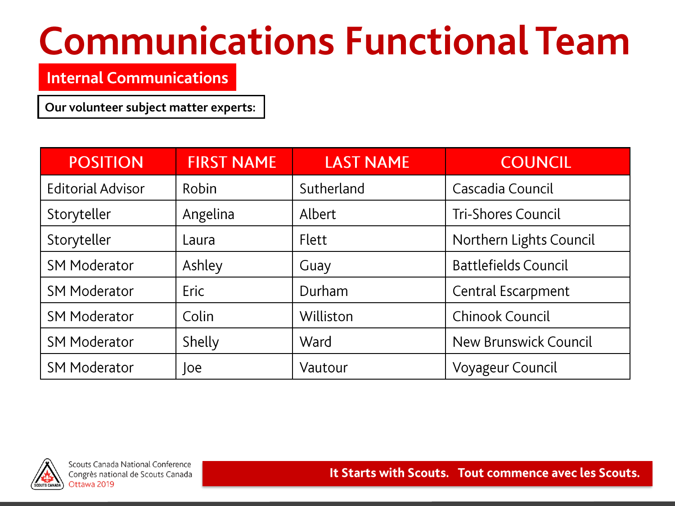### **Internal Communications**

Our volunteer subject matter experts:

| <b>POSITION</b>          | <b>FIRST NAME</b> | <b>LAST NAME</b> | <b>COUNCIL</b>               |
|--------------------------|-------------------|------------------|------------------------------|
| <b>Editorial Advisor</b> | Robin             | Sutherland       | Cascadia Council             |
| Storyteller              | Angelina          | Albert           | <b>Tri-Shores Council</b>    |
| Storyteller              | Laura             | <b>Flett</b>     | Northern Lights Council      |
| <b>SM Moderator</b>      | Ashley            | Guay             | <b>Battlefields Council</b>  |
| <b>SM Moderator</b>      | Eric              | Durham           | Central Escarpment           |
| <b>SM Moderator</b>      | Colin             | Williston        | Chinook Council              |
| <b>SM Moderator</b>      | Shelly            | Ward             | <b>New Brunswick Council</b> |
| <b>SM Moderator</b>      | oe                | Vautour          | Voyageur Council             |

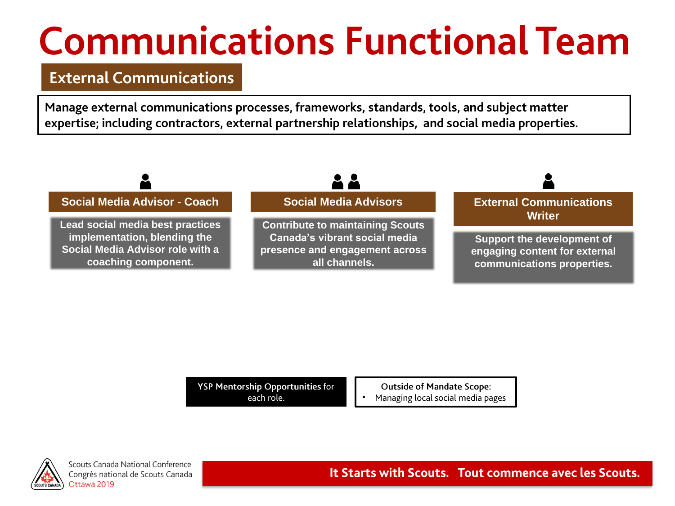#### **External Communications**

Manage external communications processes, frameworks, standards, tools, and subject matter expertise; including contractors, external partnership relationships, and social media properties.



YSP Mentorship Opportunities for each role.

**Outside of Mandate Scope:** 

Managing local social media pages



Scouts Canada National Conference Congrès national de Scouts Canada Ottawa 2019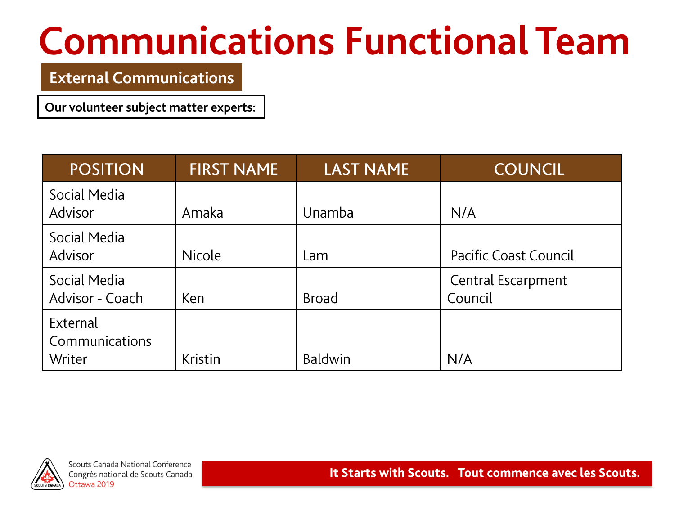#### **External Communications**

Our volunteer subject matter experts:

| <b>POSITION</b>                      | <b>FIRST NAME</b> | <b>LAST NAME</b> | <b>COUNCIL</b>                |
|--------------------------------------|-------------------|------------------|-------------------------------|
| Social Media<br><b>Advisor</b>       | Amaka             | Unamba           | N/A                           |
| Social Media<br><b>Advisor</b>       | <b>Nicole</b>     | Lam              | <b>Pacific Coast Council</b>  |
| Social Media<br>Advisor - Coach      | Ken               | <b>Broad</b>     | Central Escarpment<br>Council |
| External<br>Communications<br>Writer | <b>Kristin</b>    | <b>Baldwin</b>   | N/A                           |



Scouts Canada National Conference Congrès national de Scouts Canada Ottawa 2019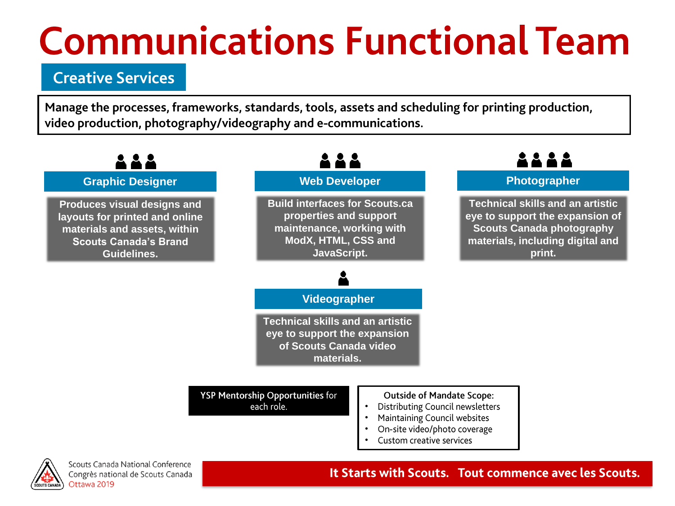### **Creative Services**

Manage the processes, frameworks, standards, tools, assets and scheduling for printing production, video production, photography/videography and e-communications.





Scouts Canada National Conference Congrès national de Scouts Canada Ottawa 2019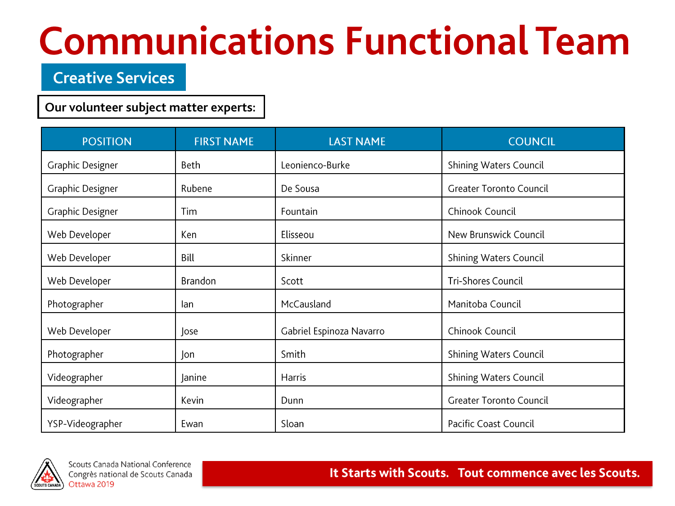### **Creative Services**

#### Our volunteer subject matter experts:

| <b>POSITION</b>  | <b>FIRST NAME</b> | <b>LAST NAME</b>         | <b>COUNCIL</b>                 |
|------------------|-------------------|--------------------------|--------------------------------|
| Graphic Designer | Beth              | Leonienco-Burke          | <b>Shining Waters Council</b>  |
| Graphic Designer | Rubene            | De Sousa                 | <b>Greater Toronto Council</b> |
| Graphic Designer | Tim               | Fountain                 | Chinook Council                |
| Web Developer    | Ken               | Elisseou                 | New Brunswick Council          |
| Web Developer    | Bill              | Skinner                  | <b>Shining Waters Council</b>  |
| Web Developer    | <b>Brandon</b>    | Scott                    | <b>Tri-Shores Council</b>      |
| Photographer     | lan               | McCausland               | Manitoba Council               |
| Web Developer    | Jose              | Gabriel Espinoza Navarro | Chinook Council                |
| Photographer     | Jon               | Smith                    | <b>Shining Waters Council</b>  |
| Videographer     | Janine            | Harris                   | <b>Shining Waters Council</b>  |
| Videographer     | Kevin             | Dunn                     | <b>Greater Toronto Council</b> |
| YSP-Videographer | Ewan              | Sloan                    | Pacific Coast Council          |

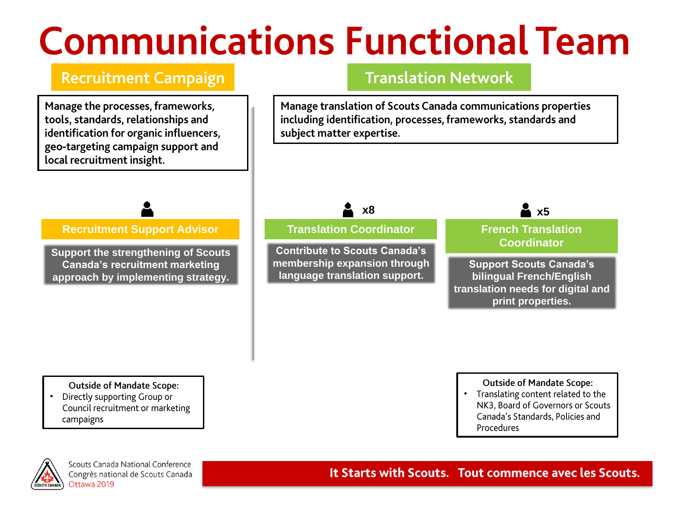### **Recruitment Campaign**

Manage the processes, frameworks, tools, standards, relationships and identification for organic influencers, geo-targeting campaign support and local recruitment insight.

#### **Translation Network**

Manage translation of Scouts Canada communications properties including identification, processes, frameworks, standards and subject matter expertise.

**Recruitment Support Advisor**

**Support the strengthening of Scouts Canada's recruitment marketing approach by implementing strategy.**



**Contribute to Scouts Canada's membership expansion through language translation support.**



#### **French Translation Coordinator**

**Support Scouts Canada's bilingual French/English translation needs for digital and print properties.**

#### **Outside of Mandate Scope:**

Directly supporting Group or • Council recruitment or marketing campaigns

#### **Outside of Mandate Scope:**

• Translating content related to the NK3, Board of Governors or Scouts Canada's Standards, Policies and Procedures